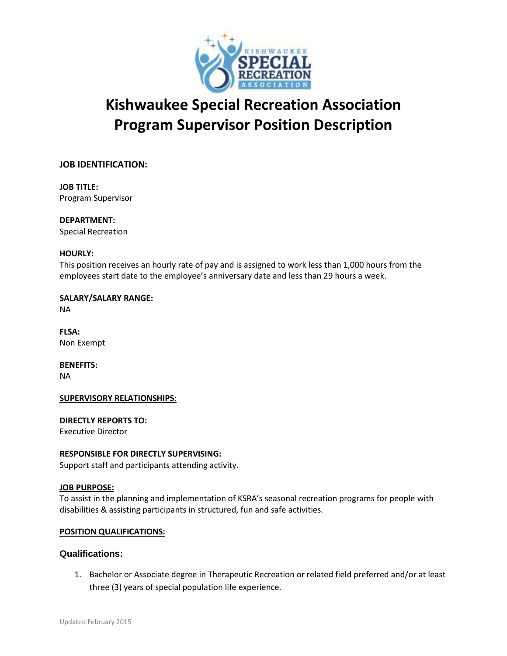

# **Kishwaukee Special Recreation Association Program Supervisor Position Description**

# **JOB IDENTIFICATION:**

**JOB TITLE:** Program Supervisor

**DEPARTMENT:**

Special Recreation

# **HOURLY:**

This position receives an hourly rate of pay and is assigned to work less than 1,000 hours from the employees start date to the employee's anniversary date and less than 29 hours a week.

**SALARY/SALARY RANGE:** NA

**FLSA:** Non Exempt

**BENEFITS:** NA

# **SUPERVISORY RELATIONSHIPS:**

**DIRECTLY REPORTS TO:** Executive Director

# **RESPONSIBLE FOR DIRECTLY SUPERVISING:**

Support staff and participants attending activity.

# **JOB PURPOSE:**

To assist in the planning and implementation of KSRA's seasonal recreation programs for people with disabilities & assisting participants in structured, fun and safe activities.

# **POSITION QUALIFICATIONS:**

# **Qualifications:**

1. Bachelor or Associate degree in Therapeutic Recreation or related field preferred and/or at least three (3) years of special population life experience.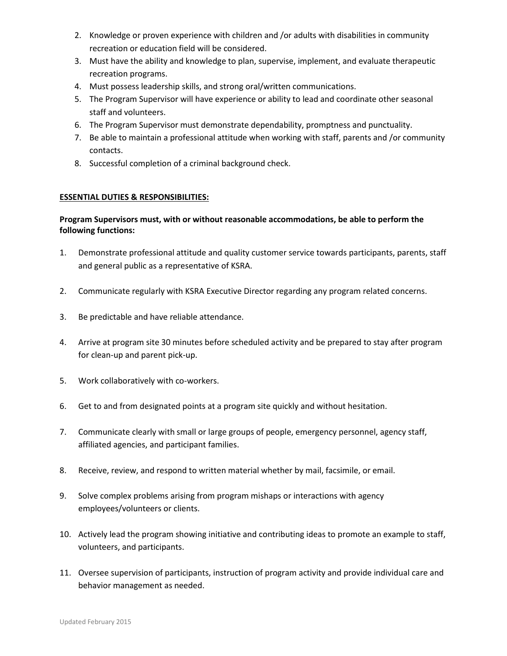- 2. Knowledge or proven experience with children and /or adults with disabilities in community recreation or education field will be considered.
- 3. Must have the ability and knowledge to plan, supervise, implement, and evaluate therapeutic recreation programs.
- 4. Must possess leadership skills, and strong oral/written communications.
- 5. The Program Supervisor will have experience or ability to lead and coordinate other seasonal staff and volunteers.
- 6. The Program Supervisor must demonstrate dependability, promptness and punctuality.
- 7. Be able to maintain a professional attitude when working with staff, parents and /or community contacts.
- 8. Successful completion of a criminal background check.

# **ESSENTIAL DUTIES & RESPONSIBILITIES:**

# **Program Supervisors must, with or without reasonable accommodations, be able to perform the following functions:**

- 1. Demonstrate professional attitude and quality customer service towards participants, parents, staff and general public as a representative of KSRA.
- 2. Communicate regularly with KSRA Executive Director regarding any program related concerns.
- 3. Be predictable and have reliable attendance.
- 4. Arrive at program site 30 minutes before scheduled activity and be prepared to stay after program for clean-up and parent pick-up.
- 5. Work collaboratively with co-workers.
- 6. Get to and from designated points at a program site quickly and without hesitation.
- 7. Communicate clearly with small or large groups of people, emergency personnel, agency staff, affiliated agencies, and participant families.
- 8. Receive, review, and respond to written material whether by mail, facsimile, or email.
- 9. Solve complex problems arising from program mishaps or interactions with agency employees/volunteers or clients.
- 10. Actively lead the program showing initiative and contributing ideas to promote an example to staff, volunteers, and participants.
- 11. Oversee supervision of participants, instruction of program activity and provide individual care and behavior management as needed.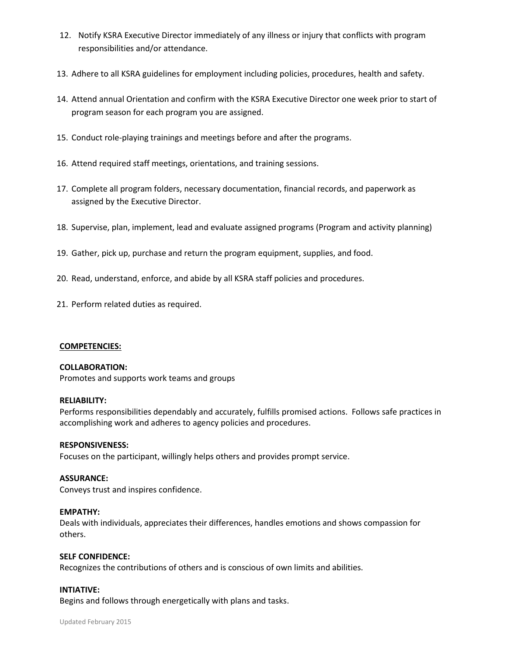- 12. Notify KSRA Executive Director immediately of any illness or injury that conflicts with program responsibilities and/or attendance.
- 13. Adhere to all KSRA guidelines for employment including policies, procedures, health and safety.
- 14. Attend annual Orientation and confirm with the KSRA Executive Director one week prior to start of program season for each program you are assigned.
- 15. Conduct role-playing trainings and meetings before and after the programs.
- 16. Attend required staff meetings, orientations, and training sessions.
- 17. Complete all program folders, necessary documentation, financial records, and paperwork as assigned by the Executive Director.
- 18. Supervise, plan, implement, lead and evaluate assigned programs (Program and activity planning)
- 19. Gather, pick up, purchase and return the program equipment, supplies, and food.
- 20. Read, understand, enforce, and abide by all KSRA staff policies and procedures.
- 21. Perform related duties as required.

# **COMPETENCIES:**

## **COLLABORATION:**

Promotes and supports work teams and groups

#### **RELIABILITY:**

Performs responsibilities dependably and accurately, fulfills promised actions. Follows safe practices in accomplishing work and adheres to agency policies and procedures.

#### **RESPONSIVENESS:**

Focuses on the participant, willingly helps others and provides prompt service.

# **ASSURANCE:**

Conveys trust and inspires confidence.

#### **EMPATHY:**

Deals with individuals, appreciates their differences, handles emotions and shows compassion for others.

## **SELF CONFIDENCE:**

Recognizes the contributions of others and is conscious of own limits and abilities.

## **INTIATIVE:**

Begins and follows through energetically with plans and tasks.